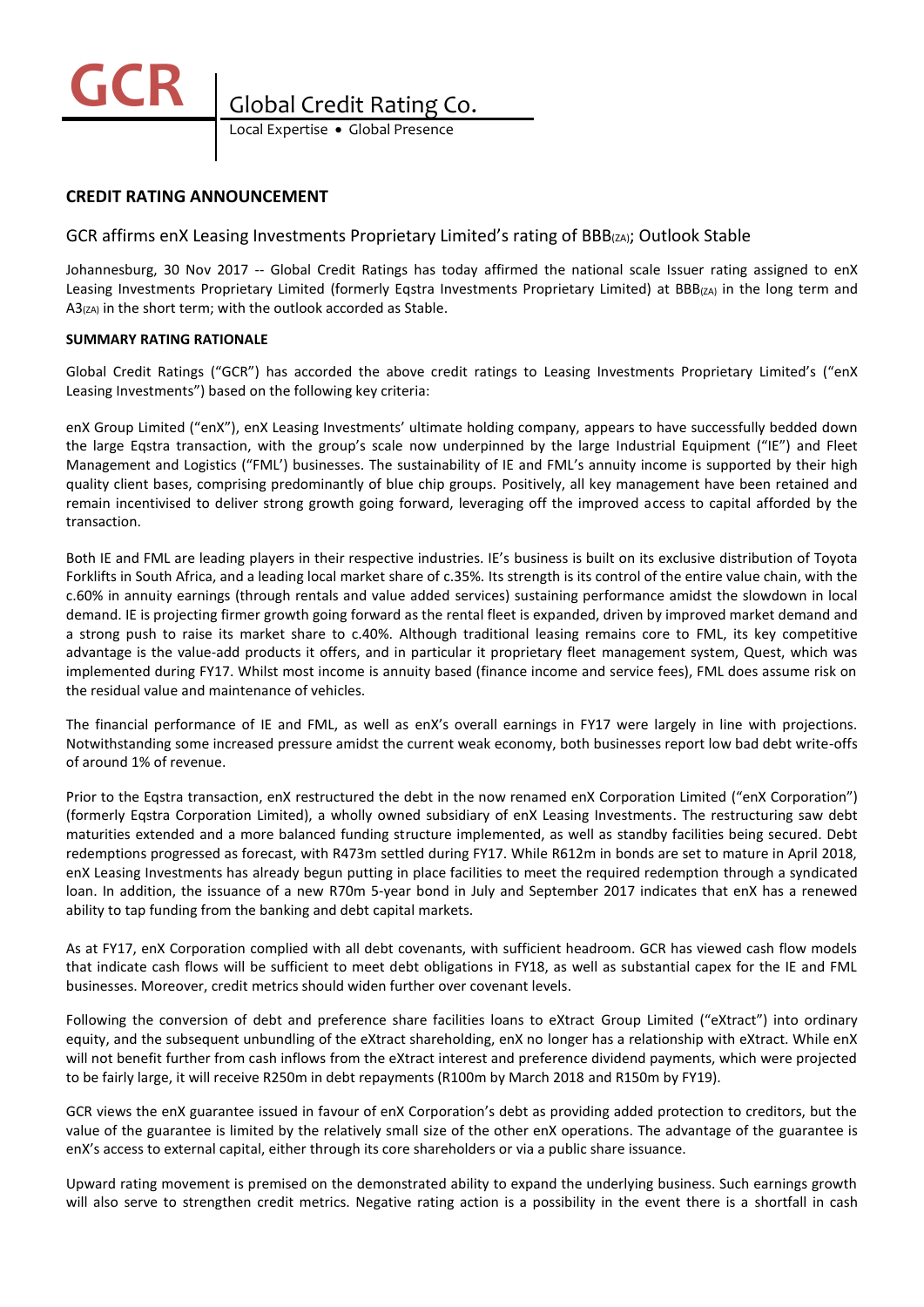

Local Expertise . Global Presence

# **CREDIT RATING ANNOUNCEMENT**

# GCR affirms enX Leasing Investments Proprietary Limited's rating of BBB<sub>(ZA)</sub>; Outlook Stable

Johannesburg, 30 Nov 2017 -- Global Credit Ratings has today affirmed the national scale Issuer rating assigned to enX Leasing Investments Proprietary Limited (formerly Eqstra Investments Proprietary Limited) at BBB<sub>(ZA)</sub> in the long term and  $A3<sub>(ZA)</sub>$  in the short term; with the outlook accorded as Stable.

## **SUMMARY RATING RATIONALE**

Global Credit Ratings ("GCR") has accorded the above credit ratings to Leasing Investments Proprietary Limited's ("enX Leasing Investments") based on the following key criteria:

enX Group Limited ("enX"), enX Leasing Investments' ultimate holding company, appears to have successfully bedded down the large Eqstra transaction, with the group's scale now underpinned by the large Industrial Equipment ("IE") and Fleet Management and Logistics ("FML') businesses. The sustainability of IE and FML's annuity income is supported by their high quality client bases, comprising predominantly of blue chip groups. Positively, all key management have been retained and remain incentivised to deliver strong growth going forward, leveraging off the improved access to capital afforded by the transaction.

Both IE and FML are leading players in their respective industries. IE's business is built on its exclusive distribution of Toyota Forklifts in South Africa, and a leading local market share of c.35%. Its strength is its control of the entire value chain, with the c.60% in annuity earnings (through rentals and value added services) sustaining performance amidst the slowdown in local demand. IE is projecting firmer growth going forward as the rental fleet is expanded, driven by improved market demand and a strong push to raise its market share to c.40%. Although traditional leasing remains core to FML, its key competitive advantage is the value-add products it offers, and in particular it proprietary fleet management system, Quest, which was implemented during FY17. Whilst most income is annuity based (finance income and service fees), FML does assume risk on the residual value and maintenance of vehicles.

The financial performance of IE and FML, as well as enX's overall earnings in FY17 were largely in line with projections. Notwithstanding some increased pressure amidst the current weak economy, both businesses report low bad debt write-offs of around 1% of revenue.

Prior to the Eqstra transaction, enX restructured the debt in the now renamed enX Corporation Limited ("enX Corporation") (formerly Eqstra Corporation Limited), a wholly owned subsidiary of enX Leasing Investments. The restructuring saw debt maturities extended and a more balanced funding structure implemented, as well as standby facilities being secured. Debt redemptions progressed as forecast, with R473m settled during FY17. While R612m in bonds are set to mature in April 2018, enX Leasing Investments has already begun putting in place facilities to meet the required redemption through a syndicated loan. In addition, the issuance of a new R70m 5-year bond in July and September 2017 indicates that enX has a renewed ability to tap funding from the banking and debt capital markets.

As at FY17, enX Corporation complied with all debt covenants, with sufficient headroom. GCR has viewed cash flow models that indicate cash flows will be sufficient to meet debt obligations in FY18, as well as substantial capex for the IE and FML businesses. Moreover, credit metrics should widen further over covenant levels.

Following the conversion of debt and preference share facilities loans to eXtract Group Limited ("eXtract") into ordinary equity, and the subsequent unbundling of the eXtract shareholding, enX no longer has a relationship with eXtract. While enX will not benefit further from cash inflows from the eXtract interest and preference dividend payments, which were projected to be fairly large, it will receive R250m in debt repayments (R100m by March 2018 and R150m by FY19).

GCR views the enX guarantee issued in favour of enX Corporation's debt as providing added protection to creditors, but the value of the guarantee is limited by the relatively small size of the other enX operations. The advantage of the guarantee is enX's access to external capital, either through its core shareholders or via a public share issuance.

Upward rating movement is premised on the demonstrated ability to expand the underlying business. Such earnings growth will also serve to strengthen credit metrics. Negative rating action is a possibility in the event there is a shortfall in cash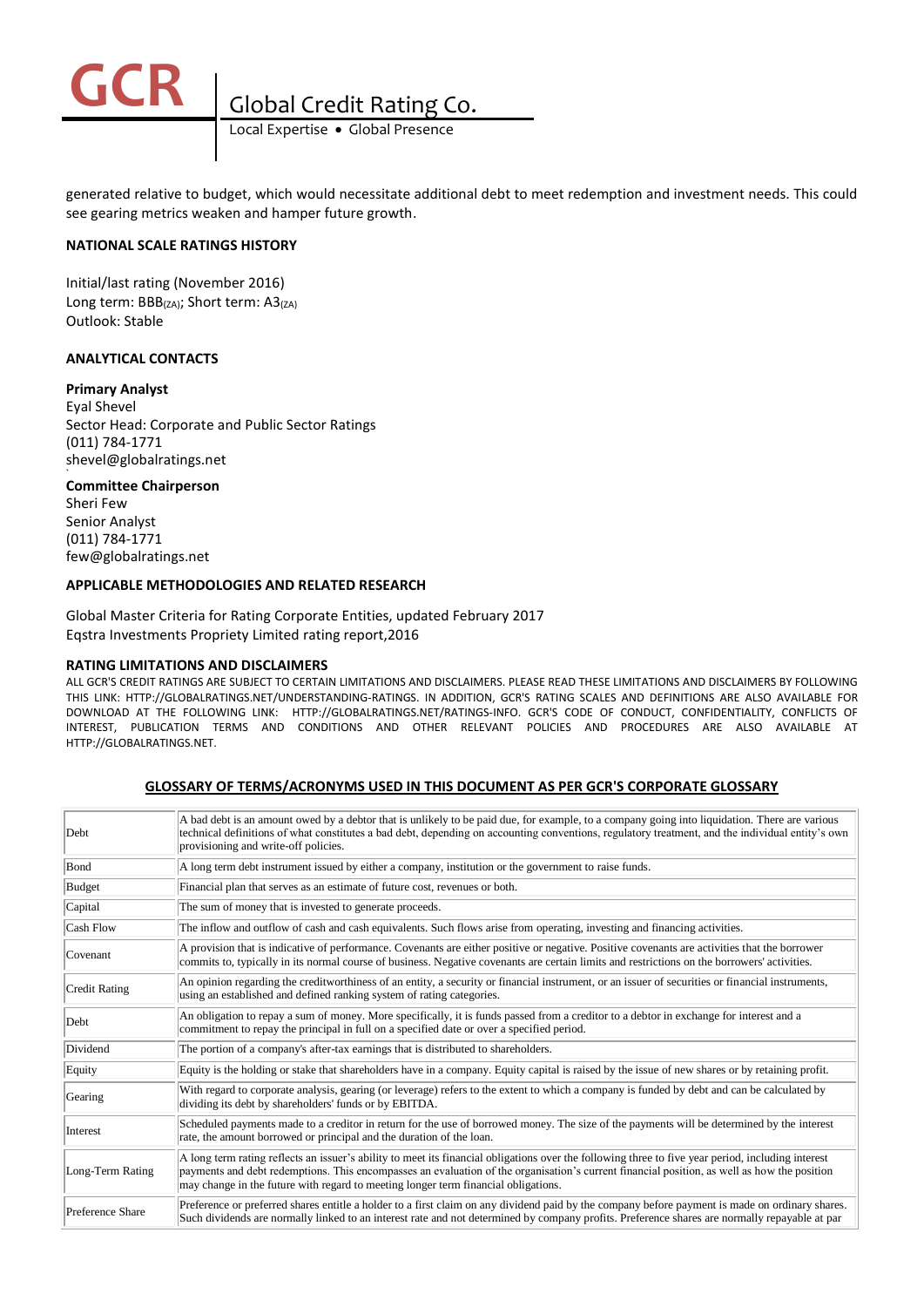

Local Expertise . Global Presence

generated relative to budget, which would necessitate additional debt to meet redemption and investment needs. This could see gearing metrics weaken and hamper future growth.

## **NATIONAL SCALE RATINGS HISTORY**

Initial/last rating (November 2016) Long term: BBB(ZA); Short term: A3(ZA) Outlook: Stable

### **ANALYTICAL CONTACTS**

#### **Primary Analyst**

Eyal Shevel Sector Head: Corporate and Public Sector Ratings (011) 784-1771 shevel@globalratings.net **`**

#### **Committee Chairperson**

Sheri Few Senior Analyst (011) 784-1771 few@globalratings.net

## **APPLICABLE METHODOLOGIES AND RELATED RESEARCH**

Global Master Criteria for Rating Corporate Entities, updated February 2017 Eqstra Investments Propriety Limited rating report,2016

#### **RATING LIMITATIONS AND DISCLAIMERS**

ALL GCR'S CREDIT RATINGS ARE SUBJECT TO CERTAIN LIMITATIONS AND DISCLAIMERS. PLEASE READ THESE LIMITATIONS AND DISCLAIMERS BY FOLLOWING THIS LINK: HTTP://GLOBALRATINGS.NET/UNDERSTANDING-RATINGS. IN ADDITION, GCR'S RATING SCALES AND DEFINITIONS ARE ALSO AVAILABLE FOR DOWNLOAD AT THE FOLLOWING LINK: HTTP://GLOBALRATINGS.NET/RATINGS-INFO. GCR'S CODE OF CONDUCT, CONFIDENTIALITY, CONFLICTS OF INTEREST, PUBLICATION TERMS AND CONDITIONS AND OTHER RELEVANT POLICIES AND PROCEDURES ARE ALSO AVAILABLE AT HTTP://GLOBALRATINGS.NET.

## **GLOSSARY OF TERMS/ACRONYMS USED IN THIS DOCUMENT AS PER GCR'S CORPORATE GLOSSARY**

| Debt             | A bad debt is an amount owed by a debtor that is unlikely to be paid due, for example, to a company going into liquidation. There are various<br>technical definitions of what constitutes a bad debt, depending on accounting conventions, regulatory treatment, and the individual entity's own<br>provisioning and write-off policies.                                               |
|------------------|-----------------------------------------------------------------------------------------------------------------------------------------------------------------------------------------------------------------------------------------------------------------------------------------------------------------------------------------------------------------------------------------|
| Bond             | A long term debt instrument issued by either a company, institution or the government to raise funds.                                                                                                                                                                                                                                                                                   |
| Budget           | Financial plan that serves as an estimate of future cost, revenues or both.                                                                                                                                                                                                                                                                                                             |
| Capital          | The sum of money that is invested to generate proceeds.                                                                                                                                                                                                                                                                                                                                 |
| Cash Flow        | The inflow and outflow of cash and cash equivalents. Such flows arise from operating, investing and financing activities.                                                                                                                                                                                                                                                               |
| Covenant         | A provision that is indicative of performance. Covenants are either positive or negative. Positive covenants are activities that the borrower<br>commits to, typically in its normal course of business. Negative covenants are certain limits and restrictions on the borrowers' activities.                                                                                           |
| Credit Rating    | An opinion regarding the creditworthiness of an entity, a security or financial instrument, or an issuer of securities or financial instruments,<br>using an established and defined ranking system of rating categories.                                                                                                                                                               |
| Debt             | An obligation to repay a sum of money. More specifically, it is funds passed from a creditor to a debtor in exchange for interest and a<br>commitment to repay the principal in full on a specified date or over a specified period.                                                                                                                                                    |
| Dividend         | The portion of a company's after-tax earnings that is distributed to shareholders.                                                                                                                                                                                                                                                                                                      |
| Equity           | Equity is the holding or stake that shareholders have in a company. Equity capital is raised by the issue of new shares or by retaining profit.                                                                                                                                                                                                                                         |
| Gearing          | With regard to corporate analysis, gearing (or leverage) refers to the extent to which a company is funded by debt and can be calculated by<br>dividing its debt by shareholders' funds or by EBITDA.                                                                                                                                                                                   |
| Interest         | Scheduled payments made to a creditor in return for the use of borrowed money. The size of the payments will be determined by the interest<br>rate, the amount borrowed or principal and the duration of the loan.                                                                                                                                                                      |
| Long-Term Rating | A long term rating reflects an issuer's ability to meet its financial obligations over the following three to five year period, including interest<br>payments and debt redemptions. This encompasses an evaluation of the organisation's current financial position, as well as how the position<br>may change in the future with regard to meeting longer term financial obligations. |
| Preference Share | Preference or preferred shares entitle a holder to a first claim on any dividend paid by the company before payment is made on ordinary shares.<br>Such dividends are normally linked to an interest rate and not determined by company profits. Preference shares are normally repayable at par                                                                                        |